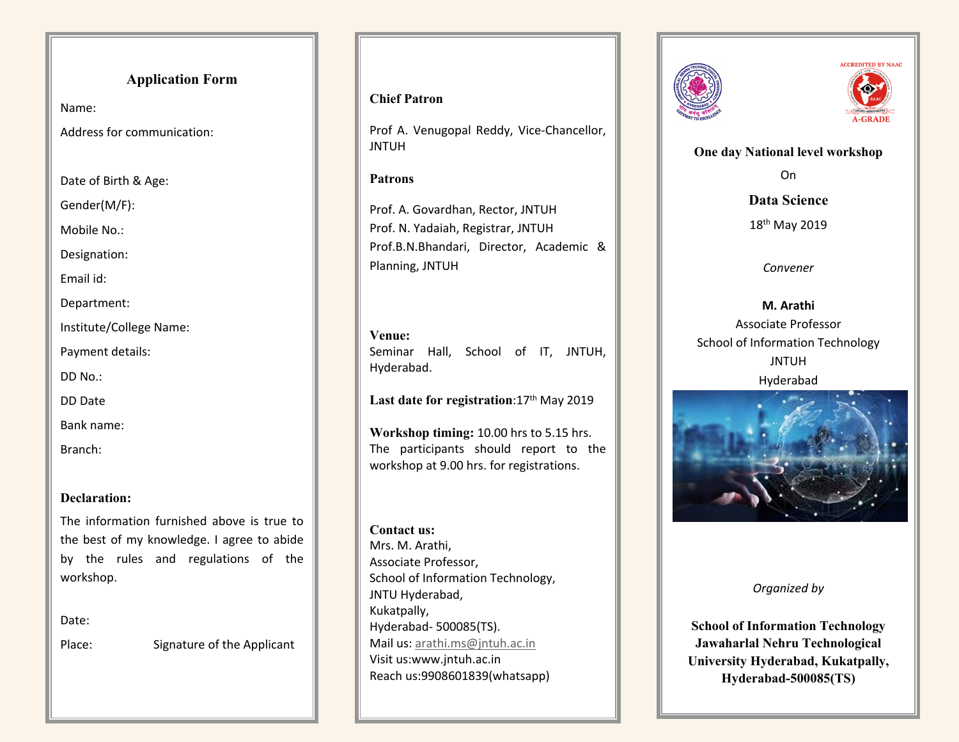# **Application Form**

Name:

Address for communication:

Date of Birth & Age:

Gender(M/F):

Mobile No.:

Designation:

Email id:

Department:

Institute/College Name:

Payment details:

DD No.:

DD Date

Bank name:

Branch:

# **Declaration:**

The information furnished above is true to the best of my knowledge. I agree to abide by the rules and regulations of the workshop.

Date:

Place: Signature of the Applicant

## **Chief Patron**

Prof A. Venugopal Reddy, Vice-Chancellor, JNTUH

## **Patrons**

Prof. A. Govardhan, Rector, JNTUH Prof. N. Yadaiah, Registrar, JNTUH Prof.B.N.Bhandari, Director, Academic & Planning, JNTUH

**Venue:** Seminar Hall, School of IT, JNTUH, Hyderabad.

Last date for registration: 17<sup>th</sup> May 2019

**Workshop timing:** 10.00 hrs to 5.15 hrs. The participants should report to the workshop at 9.00 hrs. for registrations.

## **Contact us:** Mrs. M. Arathi, Associate Professor, School of Information Technology, JNTU Hyderabad, Kukatpally, Hyderabad- 500085(TS). Mail us: [arathi.ms@jntuh.ac.in](mailto:arathi.ms@jntuh.ac.in) Visit us:www.jntuh.ac.in Reach us:9908601839(whatsapp)





**One day National level workshop**

On

**Data Science**

18<sup>th</sup> May 2019

*Convener*

**M. Arathi** Associate Professor School of Information Technology JNTUH Hyderabad



*Organized by*

**School of Information Technology Jawaharlal Nehru Technological University Hyderabad, Kukatpally, Hyderabad-500085(TS)**